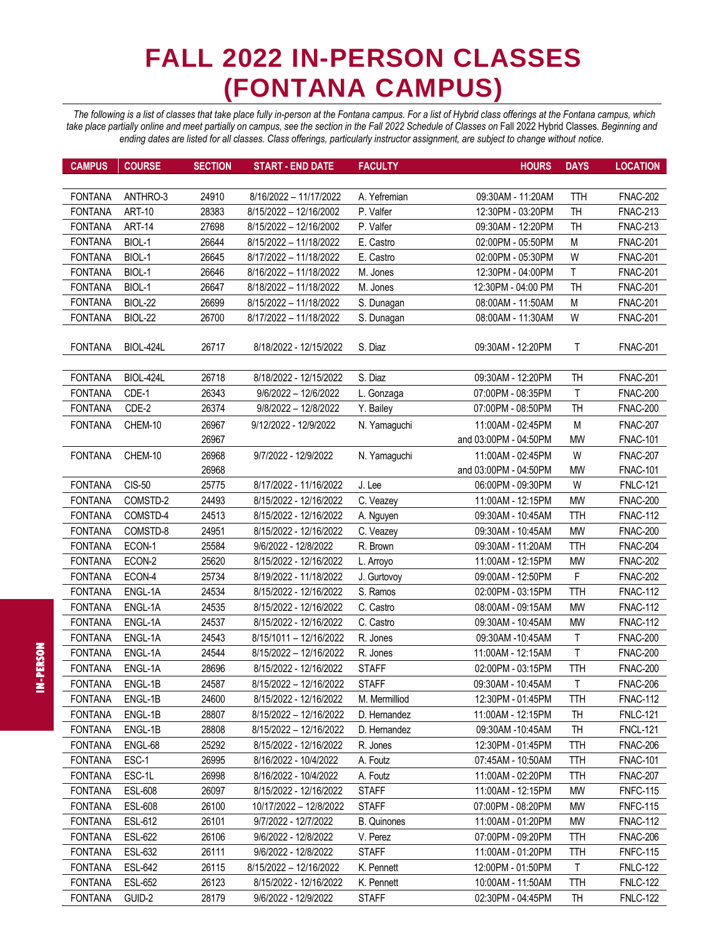## **FALL 2022 IN-PERSON CLASSES (FONTANA CAMPUS)**

*The following is a list of classes that take place fully in-person at the Fontana campus. For a list of Hybrid class offerings at the Fontana campus, which*  take place partially online and meet partially on campus, see the section in the Fall 2022 Schedule of Classes on Fall 2022 Hybrid Classes. Beginning and *ending dates are listed for all classes. Class offerings, particularly instructor assignment, are subject to change without notice.*

| <b>CAMPUS</b>  | <b>COURSE</b>    | <b>SECTION</b> | <b>START - END DATE</b> | <b>FACULTY</b>     | <b>HOURS</b>          | <b>DAYS</b> | <b>LOCATION</b> |
|----------------|------------------|----------------|-------------------------|--------------------|-----------------------|-------------|-----------------|
|                |                  |                |                         |                    |                       |             |                 |
| <b>FONTANA</b> | ANTHRO-3         | 24910          | 8/16/2022 - 11/17/2022  | A. Yefremian       | 09:30AM - 11:20AM     | <b>TTH</b>  | <b>FNAC-202</b> |
| <b>FONTANA</b> | <b>ART-10</b>    | 28383          | 8/15/2022 - 12/16/2002  | P. Valfer          | 12:30PM - 03:20PM     | <b>TH</b>   | <b>FNAC-213</b> |
| <b>FONTANA</b> | <b>ART-14</b>    | 27698          | 8/15/2022 - 12/16/2002  | P. Valfer          | 09:30AM - 12:20PM     | <b>TH</b>   | <b>FNAC-213</b> |
| <b>FONTANA</b> | BIOL-1           | 26644          | 8/15/2022 - 11/18/2022  | E. Castro          | 02:00PM - 05:50PM     | M           | <b>FNAC-201</b> |
| <b>FONTANA</b> | BIOL-1           | 26645          | 8/17/2022 - 11/18/2022  | E. Castro          | 02:00PM - 05:30PM     | W           | <b>FNAC-201</b> |
| <b>FONTANA</b> | BIOL-1           | 26646          | 8/16/2022 - 11/18/2022  | M. Jones           | 12:30PM - 04:00PM     | T           | <b>FNAC-201</b> |
| <b>FONTANA</b> | BIOL-1           | 26647          | 8/18/2022 - 11/18/2022  | M. Jones           | 12:30PM - 04:00 PM    | TH          | <b>FNAC-201</b> |
| <b>FONTANA</b> | <b>BIOL-22</b>   | 26699          | 8/15/2022 - 11/18/2022  | S. Dunagan         | 08:00AM - 11:50AM     | M           | <b>FNAC-201</b> |
| <b>FONTANA</b> | BIOL-22          | 26700          | 8/17/2022 - 11/18/2022  | S. Dunagan         | 08:00AM - 11:30AM     | W           | <b>FNAC-201</b> |
|                |                  |                |                         |                    |                       |             |                 |
| <b>FONTANA</b> | <b>BIOL-424L</b> | 26717          | 8/18/2022 - 12/15/2022  | S. Diaz            | 09:30AM - 12:20PM     | т           | <b>FNAC-201</b> |
|                |                  |                |                         |                    |                       |             |                 |
| <b>FONTANA</b> | <b>BIOL-424L</b> | 26718          | 8/18/2022 - 12/15/2022  | S. Diaz            | 09:30AM - 12:20PM     | <b>TH</b>   | <b>FNAC-201</b> |
| <b>FONTANA</b> | CDE-1            | 26343          | 9/6/2022 - 12/6/2022    | L. Gonzaga         | 07:00PM - 08:35PM     | Τ           | <b>FNAC-200</b> |
| <b>FONTANA</b> | CDE-2            | 26374          | 9/8/2022 - 12/8/2022    | Y. Bailey          | 07:00PM - 08:50PM     | <b>TH</b>   | <b>FNAC-200</b> |
| <b>FONTANA</b> | CHEM-10          | 26967          | 9/12/2022 - 12/9/2022   | N. Yamaguchi       | 11:00AM - 02:45PM     | M           | <b>FNAC-207</b> |
|                |                  | 26967          |                         |                    | and 03:00PM - 04:50PM | <b>MW</b>   | <b>FNAC-101</b> |
| <b>FONTANA</b> | CHEM-10          | 26968          | 9/7/2022 - 12/9/2022    | N. Yamaguchi       | 11:00AM - 02:45PM     | W           | <b>FNAC-207</b> |
|                |                  | 26968          |                         |                    | and 03:00PM - 04:50PM | <b>MW</b>   | <b>FNAC-101</b> |
| <b>FONTANA</b> | <b>CIS-50</b>    | 25775          | 8/17/2022 - 11/16/2022  | J. Lee             | 06:00PM - 09:30PM     | W           | <b>FNLC-121</b> |
| <b>FONTANA</b> | COMSTD-2         | 24493          | 8/15/2022 - 12/16/2022  | C. Veazey          | 11:00AM - 12:15PM     | <b>MW</b>   | <b>FNAC-200</b> |
| <b>FONTANA</b> | COMSTD-4         | 24513          | 8/15/2022 - 12/16/2022  | A. Nguyen          | 09:30AM - 10:45AM     | <b>TTH</b>  | <b>FNAC-112</b> |
| <b>FONTANA</b> | COMSTD-8         | 24951          | 8/15/2022 - 12/16/2022  | C. Veazey          | 09:30AM - 10:45AM     | <b>MW</b>   | <b>FNAC-200</b> |
| <b>FONTANA</b> | ECON-1           | 25584          | 9/6/2022 - 12/8/2022    | R. Brown           | 09:30AM - 11:20AM     | <b>TTH</b>  | <b>FNAC-204</b> |
| <b>FONTANA</b> | ECON-2           | 25620          | 8/15/2022 - 12/16/2022  | L. Arroyo          | 11:00AM - 12:15PM     | <b>MW</b>   | <b>FNAC-202</b> |
| <b>FONTANA</b> | ECON-4           | 25734          | 8/19/2022 - 11/18/2022  | J. Gurtovoy        | 09:00AM - 12:50PM     | $\mathsf F$ | <b>FNAC-202</b> |
| <b>FONTANA</b> | ENGL-1A          | 24534          | 8/15/2022 - 12/16/2022  | S. Ramos           | 02:00PM - 03:15PM     | <b>TTH</b>  | <b>FNAC-112</b> |
| <b>FONTANA</b> | ENGL-1A          | 24535          | 8/15/2022 - 12/16/2022  | C. Castro          | 08:00AM - 09:15AM     | <b>MW</b>   | <b>FNAC-112</b> |
| <b>FONTANA</b> | ENGL-1A          | 24537          | 8/15/2022 - 12/16/2022  | C. Castro          | 09:30AM - 10:45AM     | <b>MW</b>   | <b>FNAC-112</b> |
| <b>FONTANA</b> | ENGL-1A          | 24543          | 8/15/1011 - 12/16/2022  | R. Jones           | 09:30AM -10:45AM      | T           | <b>FNAC-200</b> |
| <b>FONTANA</b> | ENGL-1A          | 24544          | 8/15/2022 - 12/16/2022  | R. Jones           | 11:00AM - 12:15AM     | T           | <b>FNAC-200</b> |
| <b>FONTANA</b> | ENGL-1A          | 28696          | 8/15/2022 - 12/16/2022  | <b>STAFF</b>       | 02:00PM - 03:15PM     | <b>TTH</b>  | <b>FNAC-200</b> |
| <b>FONTANA</b> | ENGL-1B          | 24587          | 8/15/2022 - 12/16/2022  | <b>STAFF</b>       | 09:30AM - 10:45AM     | Τ           | <b>FNAC-206</b> |
| <b>FONTANA</b> | ENGL-1B          | 24600          | 8/15/2022 - 12/16/2022  | M. Mermilliod      | 12:30PM - 01:45PM     | TTH         | <b>FNAC-112</b> |
| <b>FONTANA</b> | ENGL-1B          | 28807          | 8/15/2022 - 12/16/2022  | D. Hernandez       | 11:00AM - 12:15PM     | TH          | <b>FNLC-121</b> |
| <b>FONTANA</b> | ENGL-1B          | 28808          | 8/15/2022 - 12/16/2022  | D. Hernandez       | 09:30AM -10:45AM      | TH          | <b>FNCL-121</b> |
| <b>FONTANA</b> | ENGL-68          | 25292          | 8/15/2022 - 12/16/2022  | R. Jones           | 12:30PM - 01:45PM     | <b>TTH</b>  | <b>FNAC-206</b> |
| <b>FONTANA</b> | ESC-1            | 26995          | 8/16/2022 - 10/4/2022   | A. Foutz           | 07:45AM - 10:50AM     | <b>TTH</b>  | <b>FNAC-101</b> |
| <b>FONTANA</b> | ESC-1L           | 26998          | 8/16/2022 - 10/4/2022   | A. Foutz           | 11:00AM - 02:20PM     | TTH         | <b>FNAC-207</b> |
| <b>FONTANA</b> | <b>ESL-608</b>   | 26097          | 8/15/2022 - 12/16/2022  | <b>STAFF</b>       | 11:00AM - 12:15PM     | <b>MW</b>   | <b>FNFC-115</b> |
| <b>FONTANA</b> | ESL-608          | 26100          | 10/17/2022 - 12/8/2022  | <b>STAFF</b>       | 07:00PM - 08:20PM     | <b>MW</b>   | <b>FNFC-115</b> |
| <b>FONTANA</b> | ESL-612          | 26101          | 9/7/2022 - 12/7/2022    | <b>B.</b> Quinones | 11:00AM - 01:20PM     | <b>MW</b>   | <b>FNAC-112</b> |
| <b>FONTANA</b> | ESL-622          | 26106          | 9/6/2022 - 12/8/2022    | V. Perez           | 07:00PM - 09:20PM     | <b>TTH</b>  | <b>FNAC-206</b> |
| <b>FONTANA</b> | ESL-632          | 26111          | 9/6/2022 - 12/8/2022    | <b>STAFF</b>       | 11:00AM - 01:20PM     | TTH         | <b>FNFC-115</b> |
| <b>FONTANA</b> | ESL-642          | 26115          | 8/15/2022 - 12/16/2022  | K. Pennett         | 12:00PM - 01:50PM     | T           | <b>FNLC-122</b> |
| <b>FONTANA</b> | ESL-652          | 26123          | 8/15/2022 - 12/16/2022  | K. Pennett         | 10:00AM - 11:50AM     | TTH         | <b>FNLC-122</b> |
| <b>FONTANA</b> | GUID-2           | 28179          | 9/6/2022 - 12/9/2022    | <b>STAFF</b>       | 02:30PM - 04:45PM     | TH          | <b>FNLC-122</b> |